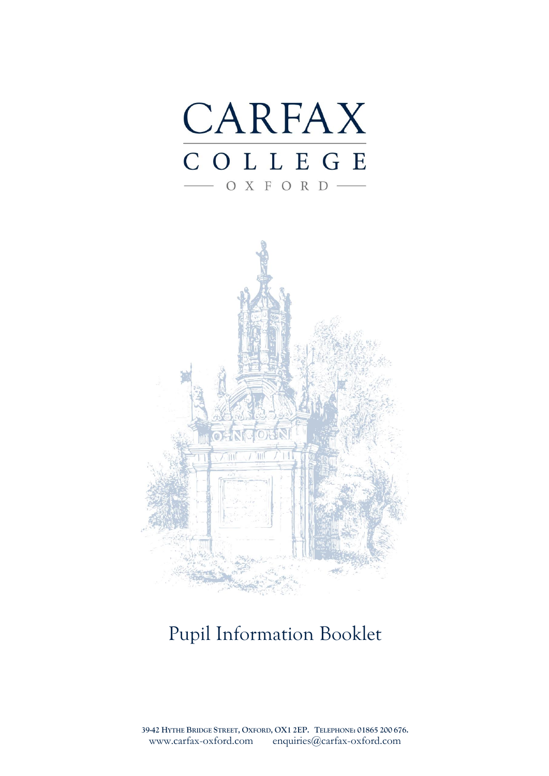



# Pupil Information Booklet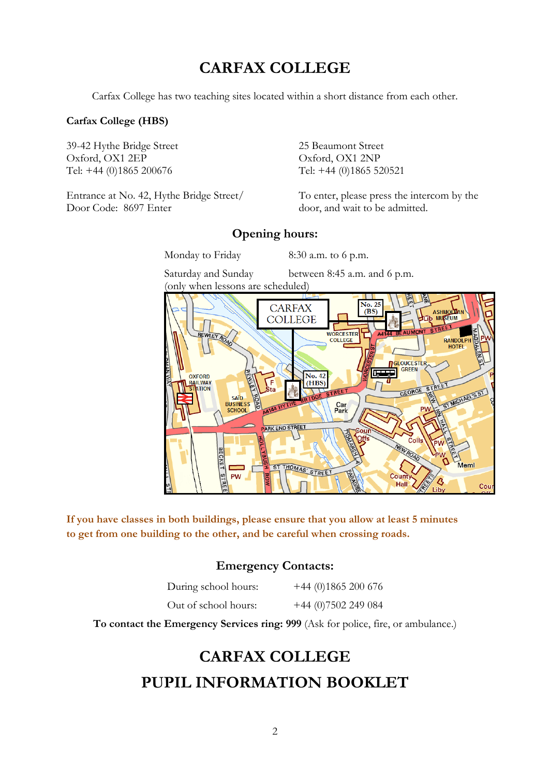## **CARFAX COLLEGE**

Carfax College has two teaching sites located within a short distance from each other.

#### **Carfax College (HBS)**

39-42 Hythe Bridge Street 25 Beaumont Street Oxford, OX1 2EP Oxford, OX1 2NP Tel: +44 (0)1865 200676 Tel: +44 (0)1865 520521

Door Code: 8697 Enter door, and wait to be admitted.

Entrance at No. 42, Hythe Bridge Street/ To enter, please press the intercom by the

#### **Opening hours:**

Monday to Friday 8:30 a.m. to 6 p.m.

Saturday and Sunday between 8:45 a.m. and 6 p.m. (only when lessons are scheduled)



**If you have classes in both buildings, please ensure that you allow at least 5 minutes to get from one building to the other, and be careful when crossing roads.**

### **Emergency Contacts:**

| During school hours: | $+44$ (0)1865 200 676 |
|----------------------|-----------------------|
| Out of school hours: | $+44$ (0)7502 249 084 |

**To contact the Emergency Services ring: 999** (Ask for police, fire, or ambulance.)

# **CARFAX COLLEGE PUPIL INFORMATION BOOKLET**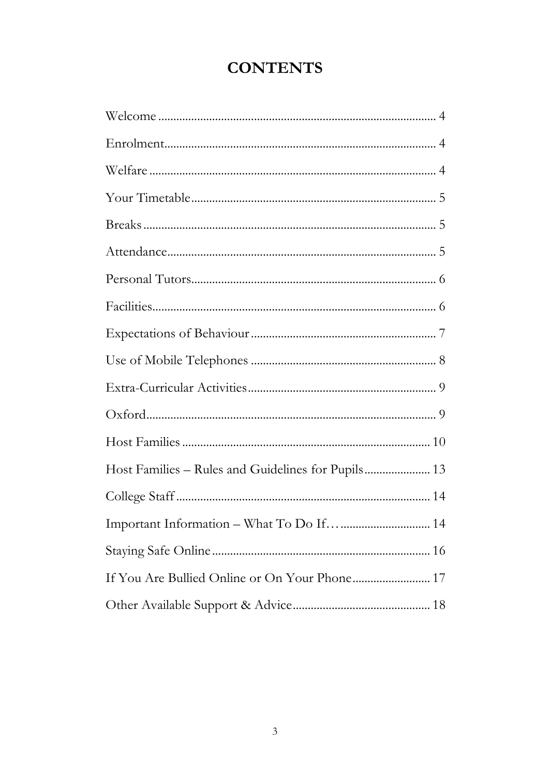# **CONTENTS**

| Host Families - Rules and Guidelines for Pupils 13 |
|----------------------------------------------------|
|                                                    |
|                                                    |
|                                                    |
|                                                    |
|                                                    |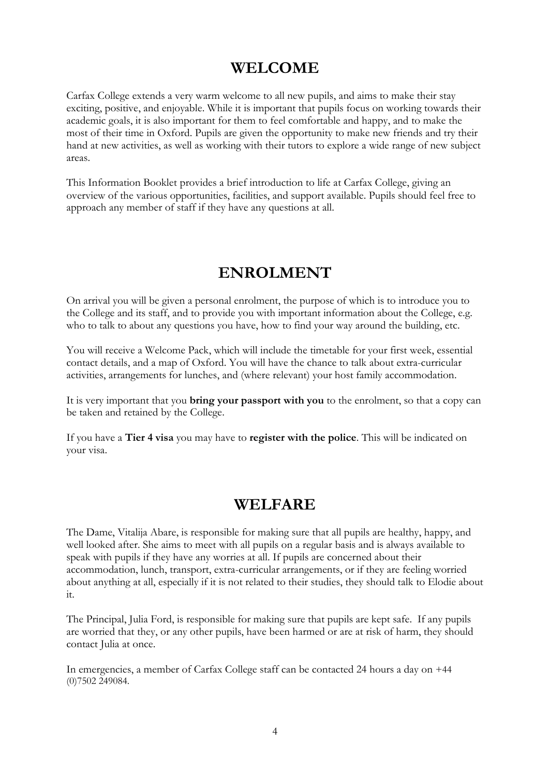## **WELCOME**

<span id="page-3-0"></span>Carfax College extends a very warm welcome to all new pupils, and aims to make their stay exciting, positive, and enjoyable. While it is important that pupils focus on working towards their academic goals, it is also important for them to feel comfortable and happy, and to make the most of their time in Oxford. Pupils are given the opportunity to make new friends and try their hand at new activities, as well as working with their tutors to explore a wide range of new subject areas.

This Information Booklet provides a brief introduction to life at Carfax College, giving an overview of the various opportunities, facilities, and support available. Pupils should feel free to approach any member of staff if they have any questions at all.

### **ENROLMENT**

<span id="page-3-1"></span>On arrival you will be given a personal enrolment, the purpose of which is to introduce you to the College and its staff, and to provide you with important information about the College, e.g. who to talk to about any questions you have, how to find your way around the building, etc.

You will receive a Welcome Pack, which will include the timetable for your first week, essential contact details, and a map of Oxford. You will have the chance to talk about extra-curricular activities, arrangements for lunches, and (where relevant) your host family accommodation.

It is very important that you **bring your passport with you** to the enrolment, so that a copy can be taken and retained by the College.

If you have a **Tier 4 visa** you may have to **register with the police**. This will be indicated on your visa.

### **WELFARE**

<span id="page-3-2"></span>The Dame, Vitalija Abare, is responsible for making sure that all pupils are healthy, happy, and well looked after. She aims to meet with all pupils on a regular basis and is always available to speak with pupils if they have any worries at all. If pupils are concerned about their accommodation, lunch, transport, extra-curricular arrangements, or if they are feeling worried about anything at all, especially if it is not related to their studies, they should talk to Elodie about it.

The Principal, Julia Ford, is responsible for making sure that pupils are kept safe. If any pupils are worried that they, or any other pupils, have been harmed or are at risk of harm, they should contact Julia at once.

In emergencies, a member of Carfax College staff can be contacted 24 hours a day on +44 (0)7502 249084.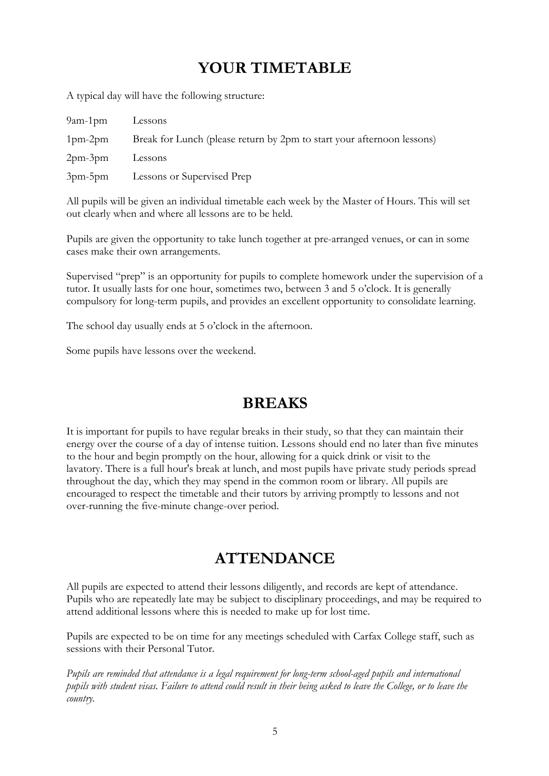## **YOUR TIMETABLE**

<span id="page-4-0"></span>A typical day will have the following structure:

| $9$ am-1 $pm$  | Lessons                                                                |
|----------------|------------------------------------------------------------------------|
| $1$ pm- $2$ pm | Break for Lunch (please return by 2pm to start your afternoon lessons) |
| $2pm-3pm$      | Lessons                                                                |
| 3pm-5pm        | Lessons or Supervised Prep                                             |

All pupils will be given an individual timetable each week by the Master of Hours. This will set out clearly when and where all lessons are to be held.

Pupils are given the opportunity to take lunch together at pre-arranged venues, or can in some cases make their own arrangements.

Supervised "prep" is an opportunity for pupils to complete homework under the supervision of a tutor. It usually lasts for one hour, sometimes two, between 3 and 5 o'clock. It is generally compulsory for long-term pupils, and provides an excellent opportunity to consolidate learning.

The school day usually ends at 5 o'clock in the afternoon.

Some pupils have lessons over the weekend.

### **BREAKS**

<span id="page-4-1"></span>It is important for pupils to have regular breaks in their study, so that they can maintain their energy over the course of a day of intense tuition. Lessons should end no later than five minutes to the hour and begin promptly on the hour, allowing for a quick drink or visit to the lavatory. There is a full hour's break at lunch, and most pupils have private study periods spread throughout the day, which they may spend in the common room or library. All pupils are encouraged to respect the timetable and their tutors by arriving promptly to lessons and not over-running the five-minute change-over period.

### **ATTENDANCE**

<span id="page-4-2"></span>All pupils are expected to attend their lessons diligently, and records are kept of attendance. Pupils who are repeatedly late may be subject to disciplinary proceedings, and may be required to attend additional lessons where this is needed to make up for lost time.

Pupils are expected to be on time for any meetings scheduled with Carfax College staff, such as sessions with their Personal Tutor.

*Pupils are reminded that attendance is a legal requirement for long-term school-aged pupils and international pupils with student visas. Failure to attend could result in their being asked to leave the College, or to leave the country.*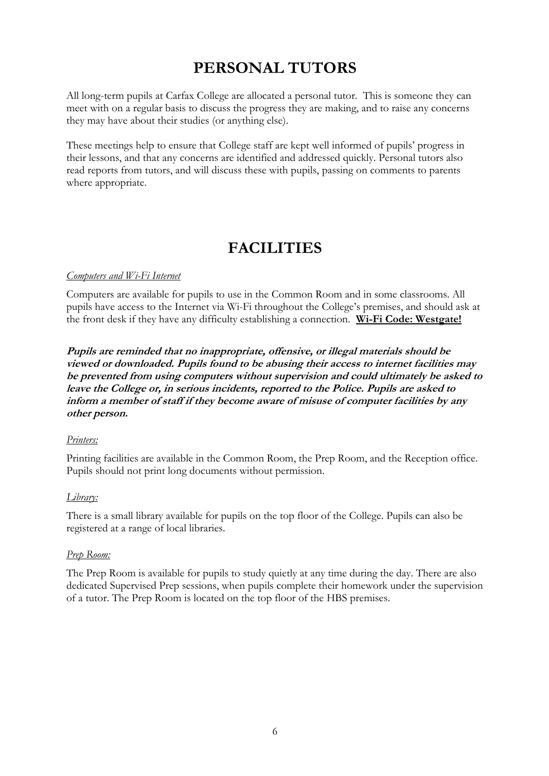# **PERSONAL TUTORS**

<span id="page-5-0"></span>All long-term pupils at Carfax College are allocated a personal tutor. This is someone they can meet with on a regular basis to discuss the progress they are making, and to raise any concerns they may have about their studies (or anything else).

These meetings help to ensure that College staff are kept well informed of pupils' progress in their lessons, and that any concerns are identified and addressed quickly. Personal tutors also read reports from tutors, and will discuss these with pupils, passing on comments to parents where appropriate.

### **FACILITIES**

#### <span id="page-5-1"></span>*Computers and Wi-Fi Internet*

Computers are available for pupils to use in the Common Room and in some classrooms. All pupils have access to the Internet via Wi-Fi throughout the College's premises, and should ask at the front desk if they have any difficulty establishing a connection. **Wi-Fi Code: Westgate!**

**Pupils are reminded that no inappropriate, offensive, or illegal materials should be viewed or downloaded. Pupils found to be abusing their access to internet facilities may be prevented from using computers without supervision and could ultimately be asked to leave the College or, in serious incidents, reported to the Police. Pupils are asked to inform a member of staff if they become aware of misuse of computer facilities by any other person.**

#### *Printers:*

Printing facilities are available in the Common Room, the Prep Room, and the Reception office. Pupils should not print long documents without permission.

#### *Library:*

There is a small library available for pupils on the top floor of the College. Pupils can also be registered at a range of local libraries.

#### *Prep Room:*

The Prep Room is available for pupils to study quietly at any time during the day. There are also dedicated Supervised Prep sessions, when pupils complete their homework under the supervision of a tutor. The Prep Room is located on the top floor of the HBS premises.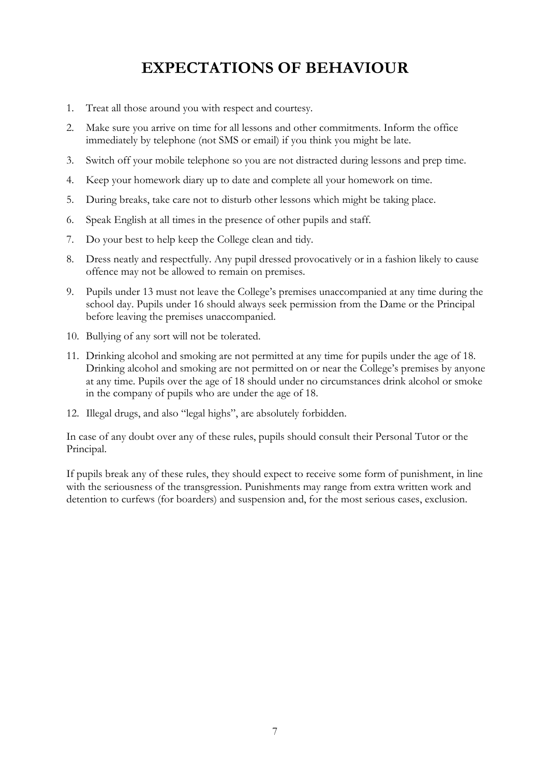## **EXPECTATIONS OF BEHAVIOUR**

- <span id="page-6-0"></span>1. Treat all those around you with respect and courtesy.
- 2. Make sure you arrive on time for all lessons and other commitments. Inform the office immediately by telephone (not SMS or email) if you think you might be late.
- 3. Switch off your mobile telephone so you are not distracted during lessons and prep time.
- 4. Keep your homework diary up to date and complete all your homework on time.
- 5. During breaks, take care not to disturb other lessons which might be taking place.
- 6. Speak English at all times in the presence of other pupils and staff.
- 7. Do your best to help keep the College clean and tidy.
- 8. Dress neatly and respectfully. Any pupil dressed provocatively or in a fashion likely to cause offence may not be allowed to remain on premises.
- 9. Pupils under 13 must not leave the College's premises unaccompanied at any time during the school day. Pupils under 16 should always seek permission from the Dame or the Principal before leaving the premises unaccompanied.
- 10. Bullying of any sort will not be tolerated.
- 11. Drinking alcohol and smoking are not permitted at any time for pupils under the age of 18. Drinking alcohol and smoking are not permitted on or near the College's premises by anyone at any time. Pupils over the age of 18 should under no circumstances drink alcohol or smoke in the company of pupils who are under the age of 18.
- 12. Illegal drugs, and also "legal highs", are absolutely forbidden.

In case of any doubt over any of these rules, pupils should consult their Personal Tutor or the Principal.

If pupils break any of these rules, they should expect to receive some form of punishment, in line with the seriousness of the transgression. Punishments may range from extra written work and detention to curfews (for boarders) and suspension and, for the most serious cases, exclusion.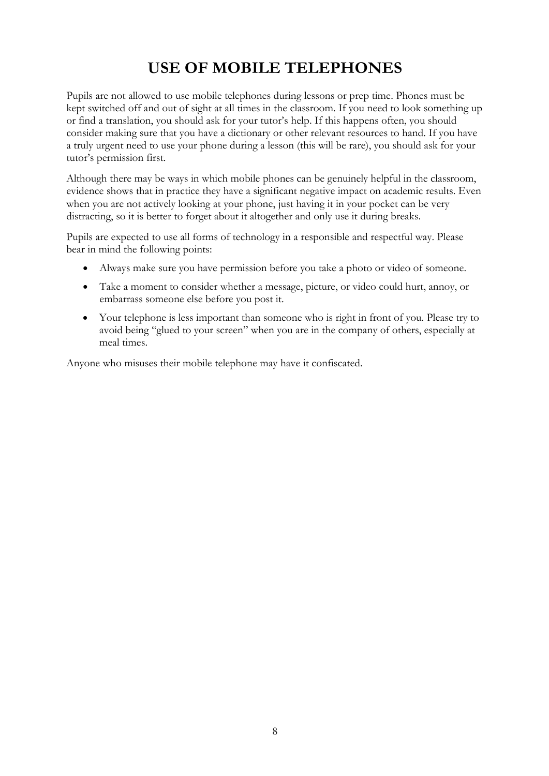# **USE OF MOBILE TELEPHONES**

<span id="page-7-0"></span>Pupils are not allowed to use mobile telephones during lessons or prep time. Phones must be kept switched off and out of sight at all times in the classroom. If you need to look something up or find a translation, you should ask for your tutor's help. If this happens often, you should consider making sure that you have a dictionary or other relevant resources to hand. If you have a truly urgent need to use your phone during a lesson (this will be rare), you should ask for your tutor's permission first.

Although there may be ways in which mobile phones can be genuinely helpful in the classroom, evidence shows that in practice they have a significant negative impact on academic results. Even when you are not actively looking at your phone, just having it in your pocket can be very distracting, so it is better to forget about it altogether and only use it during breaks.

Pupils are expected to use all forms of technology in a responsible and respectful way. Please bear in mind the following points:

- Always make sure you have permission before you take a photo or video of someone.
- Take a moment to consider whether a message, picture, or video could hurt, annoy, or embarrass someone else before you post it.
- Your telephone is less important than someone who is right in front of you. Please try to avoid being "glued to your screen" when you are in the company of others, especially at meal times.

Anyone who misuses their mobile telephone may have it confiscated.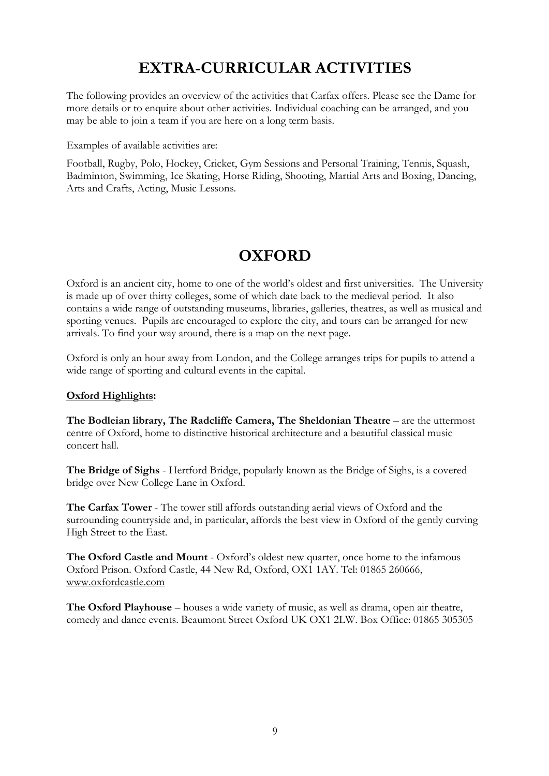# **EXTRA-CURRICULAR ACTIVITIES**

<span id="page-8-0"></span>The following provides an overview of the activities that Carfax offers. Please see the Dame for more details or to enquire about other activities. Individual coaching can be arranged, and you may be able to join a team if you are here on a long term basis.

Examples of available activities are:

Football, Rugby, Polo, Hockey, Cricket, Gym Sessions and Personal Training, Tennis, Squash, Badminton, Swimming, Ice Skating, Horse Riding, Shooting, Martial Arts and Boxing, Dancing, Arts and Crafts, Acting, Music Lessons.

## **OXFORD**

<span id="page-8-1"></span>Oxford is an ancient city, home to one of the world's oldest and first universities. The University is made up of over thirty colleges, some of which date back to the medieval period. It also contains a wide range of outstanding museums, libraries, galleries, theatres, as well as musical and sporting venues. Pupils are encouraged to explore the city, and tours can be arranged for new arrivals. To find your way around, there is a map on the next page.

Oxford is only an hour away from London, and the College arranges trips for pupils to attend a wide range of sporting and cultural events in the capital.

#### **Oxford Highlights:**

The Bodleian library, The Radcliffe Camera, The Sheldonian Theatre – are the uttermost centre of Oxford, home to distinctive historical architecture and a beautiful classical music concert hall.

**The Bridge of Sighs** - Hertford Bridge, popularly known as the Bridge of Sighs, is a covered bridge over New College Lane in Oxford.

**The Carfax Tower** - The tower still affords outstanding aerial views of Oxford and the surrounding countryside and, in particular, affords the best view in Oxford of the gently curving High Street to the East.

**The Oxford Castle and Mount** - Oxford's oldest new quarter, once home to the infamous Oxford Prison. Oxford Castle, 44 New Rd, Oxford, OX1 1AY. Tel: 01865 260666, [www.oxfordcastle.com](http://www.oxfordcastle.com/)

**The Oxford Playhouse** – houses a wide variety of music, as well as drama, open air theatre, comedy and dance events. Beaumont Street Oxford UK OX1 2LW. Box Office: 01865 305305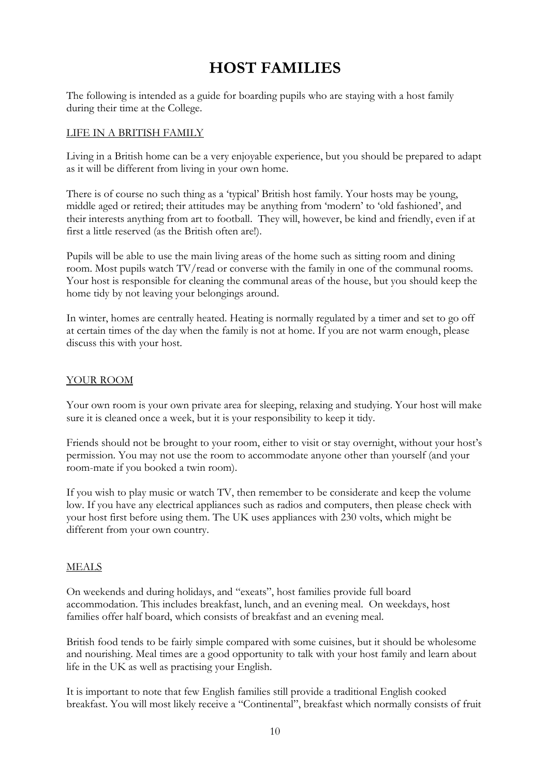# **HOST FAMILIES**

<span id="page-9-0"></span>The following is intended as a guide for boarding pupils who are staying with a host family during their time at the College.

#### LIFE IN A BRITISH FAMILY

Living in a British home can be a very enjoyable experience, but you should be prepared to adapt as it will be different from living in your own home.

There is of course no such thing as a 'typical' British host family. Your hosts may be young, middle aged or retired; their attitudes may be anything from 'modern' to 'old fashioned', and their interests anything from art to football. They will, however, be kind and friendly, even if at first a little reserved (as the British often are!).

Pupils will be able to use the main living areas of the home such as sitting room and dining room. Most pupils watch TV/read or converse with the family in one of the communal rooms. Your host is responsible for cleaning the communal areas of the house, but you should keep the home tidy by not leaving your belongings around.

In winter, homes are centrally heated. Heating is normally regulated by a timer and set to go off at certain times of the day when the family is not at home. If you are not warm enough, please discuss this with your host.

#### YOUR ROOM

Your own room is your own private area for sleeping, relaxing and studying. Your host will make sure it is cleaned once a week, but it is your responsibility to keep it tidy.

Friends should not be brought to your room, either to visit or stay overnight, without your host's permission. You may not use the room to accommodate anyone other than yourself (and your room-mate if you booked a twin room).

If you wish to play music or watch TV, then remember to be considerate and keep the volume low. If you have any electrical appliances such as radios and computers, then please check with your host first before using them. The UK uses appliances with 230 volts, which might be different from your own country.

#### MEALS

On weekends and during holidays, and "exeats", host families provide full board accommodation. This includes breakfast, lunch, and an evening meal. On weekdays, host families offer half board, which consists of breakfast and an evening meal.

British food tends to be fairly simple compared with some cuisines, but it should be wholesome and nourishing. Meal times are a good opportunity to talk with your host family and learn about life in the UK as well as practising your English.

It is important to note that few English families still provide a traditional English cooked breakfast. You will most likely receive a "Continental", breakfast which normally consists of fruit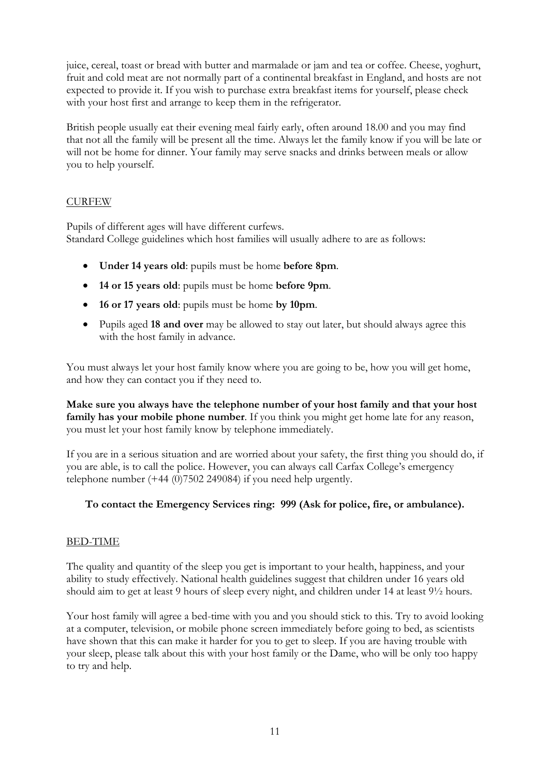juice, cereal, toast or bread with butter and marmalade or jam and tea or coffee. Cheese, yoghurt, fruit and cold meat are not normally part of a continental breakfast in England, and hosts are not expected to provide it. If you wish to purchase extra breakfast items for yourself, please check with your host first and arrange to keep them in the refrigerator.

British people usually eat their evening meal fairly early, often around 18.00 and you may find that not all the family will be present all the time. Always let the family know if you will be late or will not be home for dinner. Your family may serve snacks and drinks between meals or allow you to help yourself.

#### CURFEW

Pupils of different ages will have different curfews. Standard College guidelines which host families will usually adhere to are as follows:

- **Under 14 years old**: pupils must be home **before 8pm**.
- **14 or 15 years old**: pupils must be home **before 9pm**.
- **16 or 17 years old**: pupils must be home **by 10pm**.
- Pupils aged **18 and over** may be allowed to stay out later, but should always agree this with the host family in advance.

You must always let your host family know where you are going to be, how you will get home, and how they can contact you if they need to.

**Make sure you always have the telephone number of your host family and that your host family has your mobile phone number**. If you think you might get home late for any reason, you must let your host family know by telephone immediately.

If you are in a serious situation and are worried about your safety, the first thing you should do, if you are able, is to call the police. However, you can always call Carfax College's emergency telephone number (+44 (0)7502 249084) if you need help urgently.

#### **To contact the Emergency Services ring: 999 (Ask for police, fire, or ambulance).**

#### BED-TIME

The quality and quantity of the sleep you get is important to your health, happiness, and your ability to study effectively. National health guidelines suggest that children under 16 years old should aim to get at least 9 hours of sleep every night, and children under 14 at least 9½ hours.

Your host family will agree a bed-time with you and you should stick to this. Try to avoid looking at a computer, television, or mobile phone screen immediately before going to bed, as scientists have shown that this can make it harder for you to get to sleep. If you are having trouble with your sleep, please talk about this with your host family or the Dame, who will be only too happy to try and help.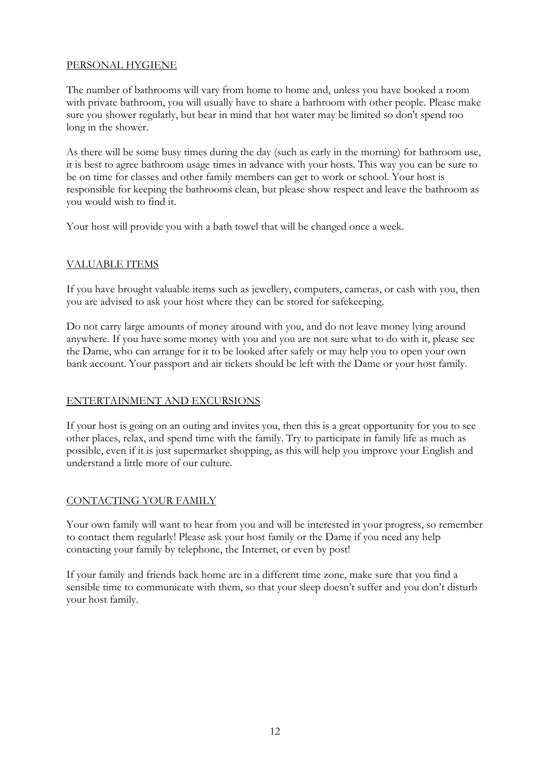#### PERSONAL HYGIENE

The number of bathrooms will vary from home to home and, unless you have booked a room with private bathroom, you will usually have to share a bathroom with other people. Please make sure you shower regularly, but bear in mind that hot water may be limited so don't spend too long in the shower.

As there will be some busy times during the day (such as early in the morning) for bathroom use, it is best to agree bathroom usage times in advance with your hosts. This way you can be sure to be on time for classes and other family members can get to work or school. Your host is responsible for keeping the bathrooms clean, but please show respect and leave the bathroom as you would wish to find it.

Your host will provide you with a bath towel that will be changed once a week.

#### VALUABLE ITEMS

If you have brought valuable items such as jewellery, computers, cameras, or cash with you, then you are advised to ask your host where they can be stored for safekeeping.

Do not carry large amounts of money around with you, and do not leave money lying around anywhere. If you have some money with you and you are not sure what to do with it, please see the Dame, who can arrange for it to be looked after safely or may help you to open your own bank account. Your passport and air tickets should be left with the Dame or your host family.

#### ENTERTAINMENT AND EXCURSIONS

If your host is going on an outing and invites you, then this is a great opportunity for you to see other places, relax, and spend time with the family. Try to participate in family life as much as possible, even if it is just supermarket shopping, as this will help you improve your English and understand a little more of our culture.

#### CONTACTING YOUR FAMILY

Your own family will want to hear from you and will be interested in your progress, so remember to contact them regularly! Please ask your host family or the Dame if you need any help contacting your family by telephone, the Internet, or even by post!

If your family and friends back home are in a different time zone, make sure that you find a sensible time to communicate with them, so that your sleep doesn't suffer and you don't disturb your host family.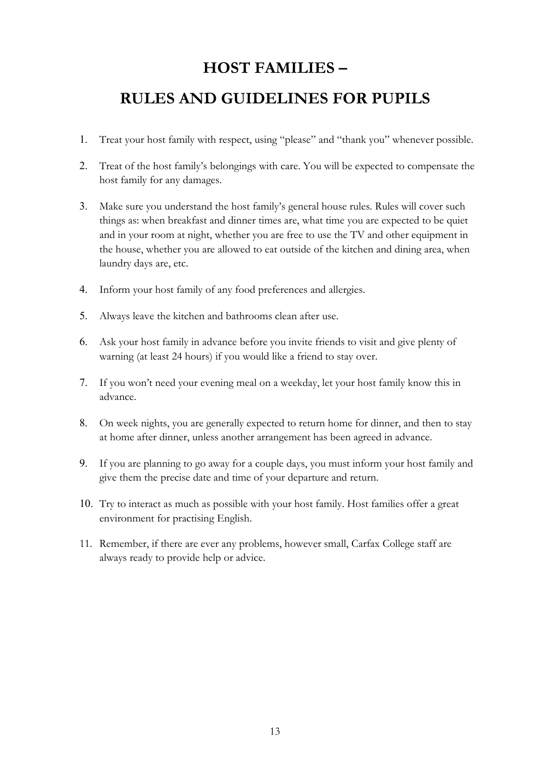### **HOST FAMILIES –**

### <span id="page-12-0"></span>**RULES AND GUIDELINES FOR PUPILS**

- 1. Treat your host family with respect, using "please" and "thank you" whenever possible.
- 2. Treat of the host family's belongings with care. You will be expected to compensate the host family for any damages.
- 3. Make sure you understand the host family's general house rules. Rules will cover such things as: when breakfast and dinner times are, what time you are expected to be quiet and in your room at night, whether you are free to use the TV and other equipment in the house, whether you are allowed to eat outside of the kitchen and dining area, when laundry days are, etc.
- 4. Inform your host family of any food preferences and allergies.
- 5. Always leave the kitchen and bathrooms clean after use.
- 6. Ask your host family in advance before you invite friends to visit and give plenty of warning (at least 24 hours) if you would like a friend to stay over.
- 7. If you won't need your evening meal on a weekday, let your host family know this in advance.
- 8. On week nights, you are generally expected to return home for dinner, and then to stay at home after dinner, unless another arrangement has been agreed in advance.
- 9. If you are planning to go away for a couple days, you must inform your host family and give them the precise date and time of your departure and return.
- 10. Try to interact as much as possible with your host family. Host families offer a great environment for practising English.
- 11. Remember, if there are ever any problems, however small, Carfax College staff are always ready to provide help or advice.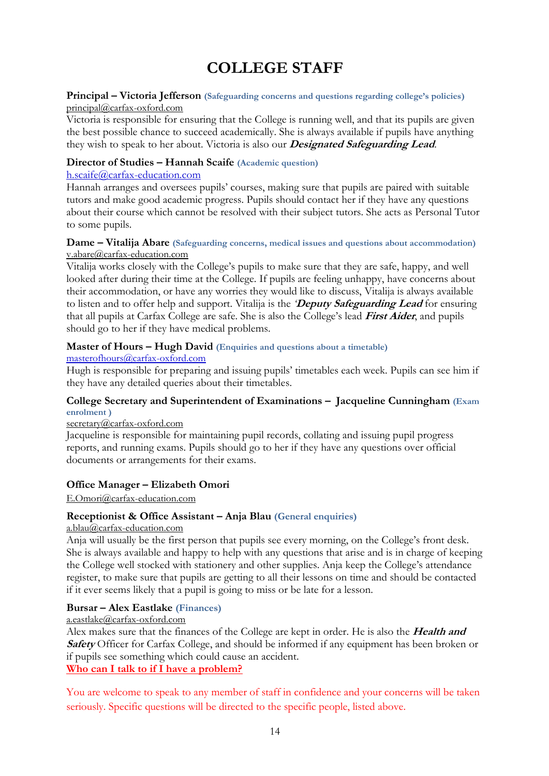# **COLLEGE STAFF**

#### <span id="page-13-0"></span>**Principal – Victoria Jefferson (Safeguarding concerns and questions regarding college's policies)** [principal@carfax-oxford.com](mailto:r.alesbury@carfax-oxford.com)

Victoria is responsible for ensuring that the College is running well, and that its pupils are given the best possible chance to succeed academically. She is always available if pupils have anything they wish to speak to her about. Victoria is also our **Designated Safeguarding Lead**.

#### **Director of Studies – Hannah Scaife (Academic question)**

#### [h.scaife@carfax-education.com](mailto:h.scaife@carfax-education.com)

Hannah arranges and oversees pupils' courses, making sure that pupils are paired with suitable tutors and make good academic progress. Pupils should contact her if they have any questions about their course which cannot be resolved with their subject tutors. She acts as Personal Tutor to some pupils.

#### **Dame – Vitalija Abare (Safeguarding concerns, medical issues and questions about accommodation)** v.abare@carfax-education.com

Vitalija works closely with the College's pupils to make sure that they are safe, happy, and well looked after during their time at the College. If pupils are feeling unhappy, have concerns about their accommodation, or have any worries they would like to discuss, Vitalija is always available to listen and to offer help and support. Vitalija is the *'***Deputy Safeguarding Lead** for ensuring that all pupils at Carfax College are safe. She is also the College's lead **First Aider**, and pupils should go to her if they have medical problems.

#### **Master of Hours – Hugh David (Enquiries and questions about a timetable)**

#### [masterofhours@carfax-oxford.com](mailto:masterofhours@carfax-oxford.com)

Hugh is responsible for preparing and issuing pupils' timetables each week. Pupils can see him if they have any detailed queries about their timetables.

#### **College Secretary and Superintendent of Examinations – Jacqueline Cunningham (Exam enrolment )**

#### secretary@carfax-oxford.com

Jacqueline is responsible for maintaining pupil records, collating and issuing pupil progress reports, and running exams. Pupils should go to her if they have any questions over official documents or arrangements for their exams.

#### **Office Manager – Elizabeth Omori**

#### E.Omori@carfax-education.com

#### **Receptionist & Office Assistant – Anja Blau (General enquiries)**

#### [a.blau@carfax-education.com](mailto:a.blau@carfax-education.com)

Anja will usually be the first person that pupils see every morning, on the College's front desk. She is always available and happy to help with any questions that arise and is in charge of keeping the College well stocked with stationery and other supplies. Anja keep the College's attendance register, to make sure that pupils are getting to all their lessons on time and should be contacted if it ever seems likely that a pupil is going to miss or be late for a lesson.

#### **Bursar – Alex Eastlake (Finances)**

#### [a.eastlake@carfax-oxford.com](mailto:a.eastlake@carfax-oxford.com)

Alex makes sure that the finances of the College are kept in order. He is also the **Health and Safety** Officer for Carfax College, and should be informed if any equipment has been broken or if pupils see something which could cause an accident.

#### <span id="page-13-1"></span>**Who can I talk to if I have a problem?**

You are welcome to speak to any member of staff in confidence and your concerns will be taken seriously. Specific questions will be directed to the specific people, listed above.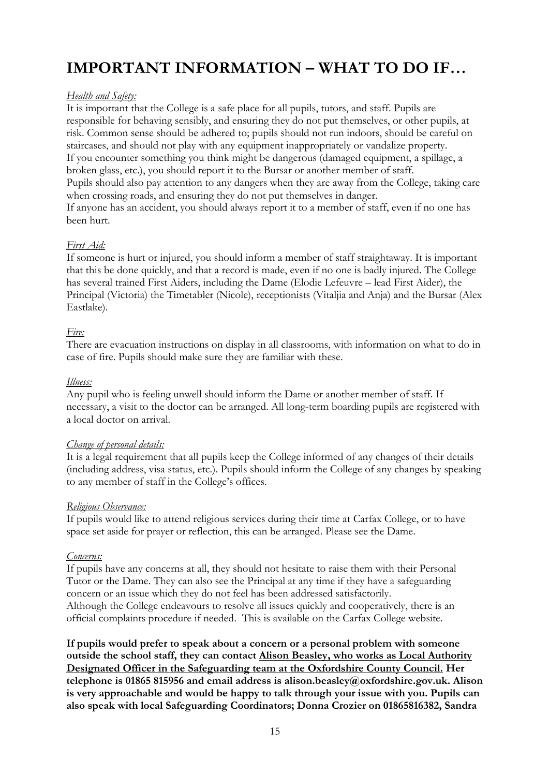# **IMPORTANT INFORMATION – WHAT TO DO IF…**

#### *Health and Safety:*

It is important that the College is a safe place for all pupils, tutors, and staff. Pupils are responsible for behaving sensibly, and ensuring they do not put themselves, or other pupils, at risk. Common sense should be adhered to; pupils should not run indoors, should be careful on staircases, and should not play with any equipment inappropriately or vandalize property. If you encounter something you think might be dangerous (damaged equipment, a spillage, a broken glass, etc.), you should report it to the Bursar or another member of staff. Pupils should also pay attention to any dangers when they are away from the College, taking care when crossing roads, and ensuring they do not put themselves in danger. If anyone has an accident, you should always report it to a member of staff, even if no one has been hurt.

#### *First Aid:*

If someone is hurt or injured, you should inform a member of staff straightaway. It is important that this be done quickly, and that a record is made, even if no one is badly injured. The College has several trained First Aiders, including the Dame (Elodie Lefeuvre – lead First Aider), the Principal (Victoria) the Timetabler (Nicole), receptionists (Vitaljia and Anja) and the Bursar (Alex Eastlake).

#### *Fire:*

There are evacuation instructions on display in all classrooms, with information on what to do in case of fire. Pupils should make sure they are familiar with these.

#### *Illness:*

Any pupil who is feeling unwell should inform the Dame or another member of staff. If necessary, a visit to the doctor can be arranged. All long-term boarding pupils are registered with a local doctor on arrival.

#### *Change of personal details:*

It is a legal requirement that all pupils keep the College informed of any changes of their details (including address, visa status, etc.). Pupils should inform the College of any changes by speaking to any member of staff in the College's offices.

#### *Religious Observance:*

If pupils would like to attend religious services during their time at Carfax College, or to have space set aside for prayer or reflection, this can be arranged. Please see the Dame.

#### *Concerns:*

If pupils have any concerns at all, they should not hesitate to raise them with their Personal Tutor or the Dame. They can also see the Principal at any time if they have a safeguarding concern or an issue which they do not feel has been addressed satisfactorily. Although the College endeavours to resolve all issues quickly and cooperatively, there is an official complaints procedure if needed. This is available on the Carfax College website.

**If pupils would prefer to speak about a concern or a personal problem with someone outside the school staff, they can contact Alison Beasley, who works as Local Authority Designated Officer in the Safeguarding team at the Oxfordshire County Council. Her telephone is 01865 815956 and email address is alison.beasley@oxfordshire.gov.uk. Alison is very approachable and would be happy to talk through your issue with you. Pupils can also speak with local Safeguarding Coordinators; Donna Crozier on 01865816382, Sandra**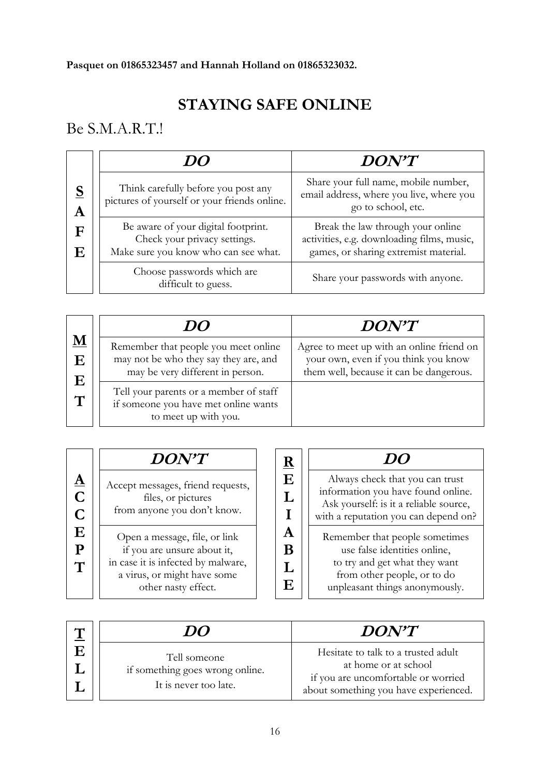# **STAYING SAFE ONLINE**

## <span id="page-15-0"></span>Be S.M.A.R.T.!

|               | 11()                                                                                                        | $DON^{\prime}T$                                                                                                          |  |
|---------------|-------------------------------------------------------------------------------------------------------------|--------------------------------------------------------------------------------------------------------------------------|--|
| <u>S</u><br>A | Think carefully before you post any<br>pictures of yourself or your friends online.                         | Share your full name, mobile number,<br>email address, where you live, where you<br>go to school, etc.                   |  |
| F<br>E        | Be aware of your digital footprint.<br>Check your privacy settings.<br>Make sure you know who can see what. | Break the law through your online<br>activities, e.g. downloading films, music,<br>games, or sharing extremist material. |  |
|               | Choose passwords which are<br>difficult to guess.                                                           | Share your passwords with anyone.                                                                                        |  |

|                                    | DO                                                                                                                | <b>DON'T</b>                                                                                                                 |
|------------------------------------|-------------------------------------------------------------------------------------------------------------------|------------------------------------------------------------------------------------------------------------------------------|
| $\underline{\mathbf{M}}$<br>Ε<br>E | Remember that people you meet online<br>may not be who they say they are, and<br>may be very different in person. | Agree to meet up with an online friend on<br>your own, even if you think you know<br>them well, because it can be dangerous. |
| $\mathbf T$                        | Tell your parents or a member of staff<br>if someone you have met online wants<br>to meet up with you.            |                                                                                                                              |

|                                | <b>DON'T</b>                                                                                                                                             | R      |                                                                                                                                                                  |
|--------------------------------|----------------------------------------------------------------------------------------------------------------------------------------------------------|--------|------------------------------------------------------------------------------------------------------------------------------------------------------------------|
| ${\bf \underline A}$<br>C<br>C | Accept messages, friend requests,<br>files, or pictures<br>from anyone you don't know.                                                                   | E      | Always check that you can trust<br>information you have found online.<br>Ask yourself: is it a reliable source,<br>with a reputation you can depend on?          |
| E<br>P<br>$\mathbf T$          | Open a message, file, or link<br>if you are unsure about it,<br>in case it is infected by malware,<br>a virus, or might have some<br>other nasty effect. | A<br>E | Remember that people sometimes<br>use false identities online,<br>to try and get what they want<br>from other people, or to do<br>unpleasant things anonymously. |

| ┻ | DO                                                                       | DON'T                                                                                                                                       |
|---|--------------------------------------------------------------------------|---------------------------------------------------------------------------------------------------------------------------------------------|
|   | Tell someone<br>if something goes wrong online.<br>It is never too late. | Hesitate to talk to a trusted adult<br>at home or at school<br>if you are uncomfortable or worried<br>about something you have experienced. |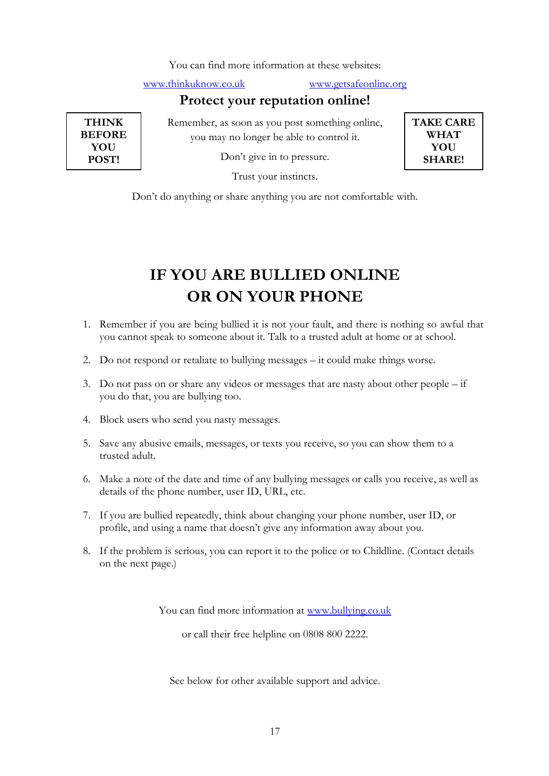You can find more information at these websites:

[www.thinkuknow.co.uk](http://www.thinkuknow.co.uk/) [www.getsafeonline.org](http://www.getsafeonline.org/)

**TAKE CARE WHAT YOU SHARE!**

### **Protect your reputation online!**

**THINK BEFORE YOU POST!**

Remember, as soon as you post something online, you may no longer be able to control it.

Don't give in to pressure.

Trust your instincts.

Don't do anything or share anything you are not comfortable with.

# **IF YOU ARE BULLIED ONLINE OR ON YOUR PHONE**

- <span id="page-16-0"></span>1. Remember if you are being bullied it is not your fault, and there is nothing so awful that you cannot speak to someone about it. Talk to a trusted adult at home or at school.
- 2. Do not respond or retaliate to bullying messages it could make things worse.
- 3. Do not pass on or share any videos or messages that are nasty about other people if you do that, you are bullying too.
- 4. Block users who send you nasty messages.
- 5. Save any abusive emails, messages, or texts you receive, so you can show them to a trusted adult.
- 6. Make a note of the date and time of any bullying messages or calls you receive, as well as details of the phone number, user ID, URL, etc.
- 7. If you are bullied repeatedly, think about changing your phone number, user ID, or profile, and using a name that doesn't give any information away about you.
- 8. If the problem is serious, you can report it to the police or to Childline. (Contact details on the next page.)

You can find more information at [www.bullying.co.uk](http://www.bullying.co.uk/)

or call their free helpline on 0808 800 2222.

See below for other available support and advice.